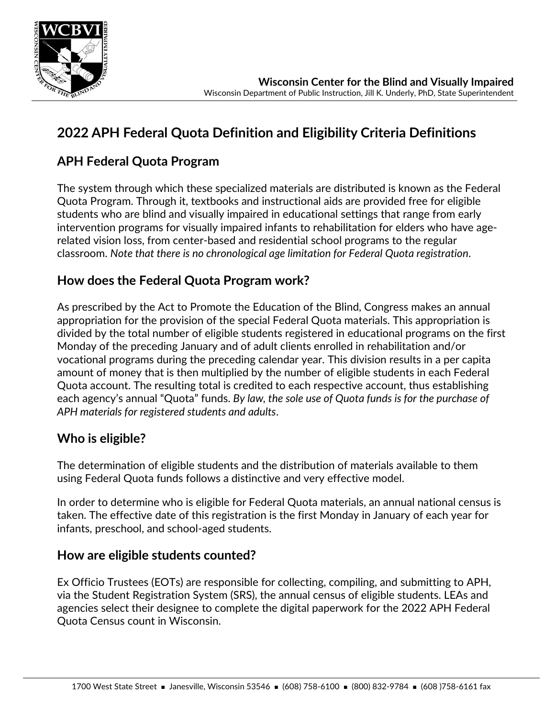

# **2022 APH Federal Quota Definition and Eligibility Criteria Definitions**

## **APH Federal Quota Program**

The system through which these specialized materials are distributed is known as the Federal Quota Program. Through it, textbooks and instructional aids are provided free for eligible students who are blind and visually impaired in educational settings that range from early intervention programs for visually impaired infants to rehabilitation for elders who have agerelated vision loss, from center-based and residential school programs to the regular classroom. *Note that there is no chronological age limitation for Federal Quota registration*.

## **How does the Federal Quota Program work?**

As prescribed by the Act to Promote the Education of the Blind, Congress makes an annual appropriation for the provision of the special Federal Quota materials. This appropriation is divided by the total number of eligible students registered in educational programs on the first Monday of the preceding January and of adult clients enrolled in rehabilitation and/or vocational programs during the preceding calendar year. This division results in a per capita amount of money that is then multiplied by the number of eligible students in each Federal Quota account. The resulting total is credited to each respective account, thus establishing each agency's annual "Quota" funds. *By law, the sole use of Quota funds is for the purchase of APH materials for registered students and adults*.

### **Who is eligible?**

The determination of eligible students and the distribution of materials available to them using Federal Quota funds follows a distinctive and very effective model.

In order to determine who is eligible for Federal Quota materials, an annual national census is taken. The effective date of this registration is the first Monday in January of each year for infants, preschool, and school-aged students.

### **How are eligible students counted?**

Ex Officio Trustees (EOTs) are responsible for collecting, compiling, and submitting to APH, via the Student Registration System (SRS), the annual census of eligible students. LEAs and agencies select their designee to complete the digital paperwork for the 2022 APH Federal Quota Census count in Wisconsin.